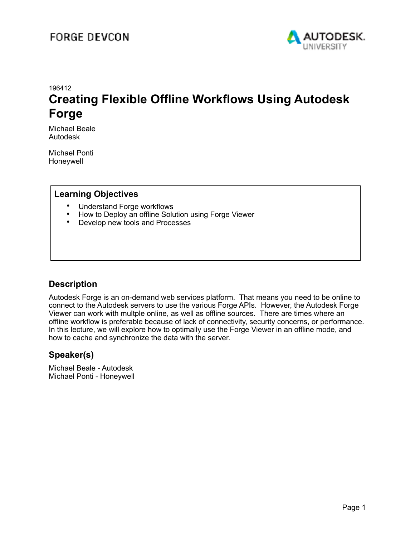

### 196412 **Creating Flexible Offline Workflows Using Autodesk Forge**

Michael Beale Autodesk

Michael Ponti Honeywell

#### **Learning Objectives**

- Understand Forge workflows
- How to Deploy an offline Solution using Forge Viewer<br>• Develop new tools and Processes
- Develop new tools and Processes

#### **Description**

Autodesk Forge is an on-demand web services platform. That means you need to be online to connect to the Autodesk servers to use the various Forge APIs. However, the Autodesk Forge Viewer can work with multple online, as well as offline sources. There are times where an offline workflow is preferable because of lack of connectivity, security concerns, or performance. In this lecture, we will explore how to optimally use the Forge Viewer in an offline mode, and how to cache and synchronize the data with the server.

#### **Speaker(s)**

Michael Beale - Autodesk Michael Ponti - Honeywell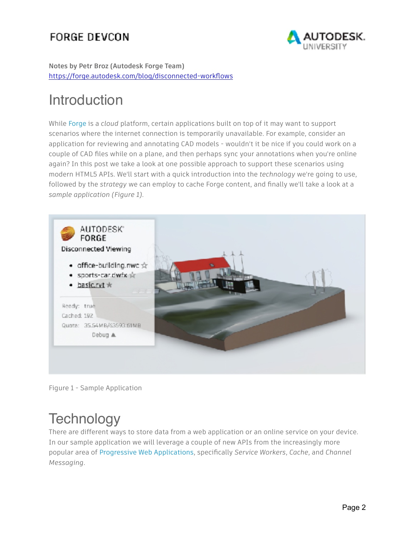

**Notes by Petr Broz (Autodesk Forge Team)**  <https://forge.autodesk.com/blog/disconnected-workflows>

# Introduction

While [Forge](https://forge.autodesk.com/) is a *cloud* platform, certain applications built on top of it may want to support scenarios where the internet connection is temporarily unavailable. For example, consider an application for reviewing and annotating CAD models - wouldn't it be nice if you could work on a couple of CAD files while on a plane, and then perhaps sync your annotations when you're online again? In this post we take a look at one possible approach to support these scenarios using modern HTML5 APIs. We'll start with a quick introduction into the *technology* we're going to use, followed by the *strategy* we can employ to cache Forge content, and finally we'll take a look at a *sample application (Figure 1)*.



Figure 1 - Sample Application

# **Technology**

There are different ways to store data from a web application or an online service on your device. In our sample application we will leverage a couple of new APIs from the increasingly more popular area of [Progressive Web Applications,](https://en.wikipedia.org/wiki/Progressive_Web_Apps) specifically *Service Workers*, *Cache*, and *Channel Messaging*.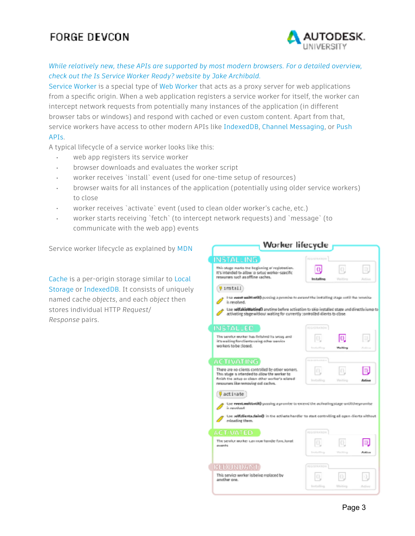

#### *While relatively new, these APIs are supported by most modern browsers. For a detailed overview, check out the [Is Service Worker Ready?](https://jakearchibald.github.io/isserviceworkerready/index.html#moar) website by Jake Archibald.*

[Service Worker](https://developer.mozilla.org/en-US/docs/Web/API/Service_Worker_API) is a special type of [Web Worker](https://developer.mozilla.org/en-US/docs/Web/API/Web_Workers_API) that acts as a proxy server for web applications from a specific origin. When a web application registers a service worker for itself, the worker can intercept network requests from potentially many instances of the application (in different browser tabs or windows) and respond with cached or even custom content. Apart from that, service workers have access to other modern APIs like [IndexedDB,](https://developer.mozilla.org/en-US/docs/Web/API/IndexedDB_API) [Channel Messaging,](https://developer.mozilla.org/en-US/docs/Web/API/Channel_Messaging_API) or [Push](https://developer.mozilla.org/en-US/docs/Web/API/Push_API)  [APIs.](https://developer.mozilla.org/en-US/docs/Web/API/Push_API)

A typical lifecycle of a service worker looks like this:

- web app registers its service worker
- browser downloads and evaluates the worker script
- worker receives `install` event (used for one-time setup of resources)
- browser waits for all instances of the application (potentially using older service workers) to close
- worker receives `activate` event (used to clean older worker's cache, etc.)
- worker starts receiving `fetch` (to intercept network requests) and `message` (to communicate with the web app) events

Service worker lifecycle as explained by [MDN](https://developer.mozilla.org/en-US/docs/Web/API/Service_Worker_API/Using_Service_Workers)

[Cache](https://developer.mozilla.org/en-US/docs/Web/API/Cache) is a per-origin storage similar to [Local](https://developer.mozilla.org/en-US/docs/Web/API/Window/localStorage)  [Storage](https://developer.mozilla.org/en-US/docs/Web/API/Window/localStorage) or [IndexedDB.](https://developer.mozilla.org/en-US/docs/Web/API/IndexedDB_API) It consists of uniquely named cache *objects*, and each *object* then stores individual HTTP *Request*/ *Response* pairs.

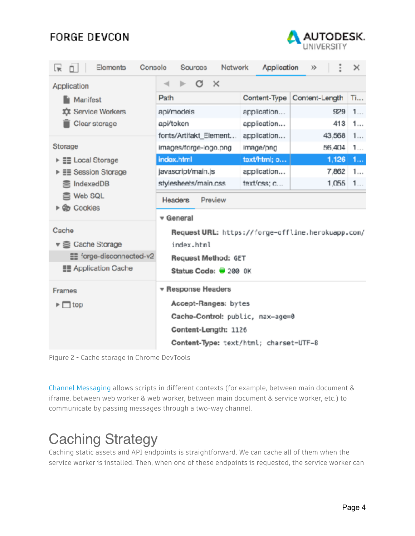

| Elements<br>Console<br>Lw.                                                       | Network<br>Sources                                                                                              | Application  | 汵              | ×  |
|----------------------------------------------------------------------------------|-----------------------------------------------------------------------------------------------------------------|--------------|----------------|----|
| Application                                                                      | G<br>$\mathbb{1}$                                                                                               |              |                |    |
| <b>Nanifest</b><br><b>XX</b> Service Workers<br>Clear storage                    | Path                                                                                                            | Content-Type | Content-Length | Ti |
|                                                                                  | api/models                                                                                                      | application  | 929            | 1  |
|                                                                                  | api/token                                                                                                       | application  | 413            | 1  |
|                                                                                  | fonts/Artifakt_Element                                                                                          | application  | 43,568         | 1  |
| Storage                                                                          | images/forge-logo.png                                                                                           | image/png    | 56,404         | 1  |
| ▶ 블롤 Local Storage<br>▶ 글 Session Storage<br>IndexedDB<br>S Web SQL<br>▶ Cookies | index.html                                                                                                      | text/html; o | 1,126          | 1  |
|                                                                                  | javascript/main.js                                                                                              | application  | 7.862          | 1  |
|                                                                                  | stylesheets/main.css                                                                                            | text/css; c  | 1.055          | 1  |
|                                                                                  | Headers<br>Preview                                                                                              |              |                |    |
|                                                                                  | v General                                                                                                       |              |                |    |
| Cache                                                                            | Request URL: https://forge-offline.herokuapp.com/<br>index.html<br>Request Method: GET<br>Status Code: 3 200 0K |              |                |    |
| $\mathbf{v} \lessapprox$ Cache Storage                                           |                                                                                                                 |              |                |    |
| EE forge-disconnected-v2                                                         |                                                                                                                 |              |                |    |
| <b>EE</b> Application Cache                                                      |                                                                                                                 |              |                |    |
| Frames                                                                           | <b>v</b> Response Headers                                                                                       |              |                |    |
| $\triangleright \Box$ top                                                        | Accept-Ranges: bytes                                                                                            |              |                |    |
|                                                                                  | Cache-Control: public, max-age=0                                                                                |              |                |    |
|                                                                                  | Content-Length: 1126                                                                                            |              |                |    |
|                                                                                  | Content-Type: text/html; charset=UTF-8                                                                          |              |                |    |

Figure 2 - Cache storage in Chrome DevTools

[Channel Messaging](https://developer.mozilla.org/en-US/docs/Web/API/Channel_Messaging_API) allows scripts in different contexts (for example, between main document & iframe, between web worker & web worker, between main document & service worker, etc.) to communicate by passing messages through a two-way channel.

# Caching Strategy

Caching static assets and API endpoints is straightforward. We can cache all of them when the service worker is installed. Then, when one of these endpoints is requested, the service worker can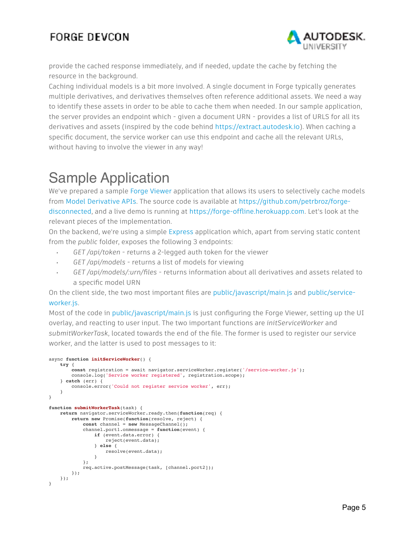

provide the cached response immediately, and if needed, update the cache by fetching the resource in the background.

Caching individual models is a bit more involved. A single document in Forge typically generates multiple derivatives, and derivatives themselves often reference additional assets. We need a way to identify these assets in order to be able to cache them when needed. In our sample application, the server provides an endpoint which - given a document URN - provides a list of URLS for all its derivatives and assets (inspired by the code behind [https://extract.autodesk.io](https://extract.autodesk.io/)). When caching a specific document, the service worker can use this endpoint and cache all the relevant URLs, without having to involve the viewer in any way!

# Sample Application

We've prepared a sample [Forge Viewer](https://forge.autodesk.com/en/docs/viewer/v2) application that allows its users to selectively cache models from [Model Derivative APIs](https://forge.autodesk.com/en/docs/model-derivative/v2/developers_guide/overview). The source code is available at [https://github.com/petrbroz/forge](https://github.com/petrbroz/forge-disconnected)[disconnected,](https://github.com/petrbroz/forge-disconnected) and a live demo is running at [https://forge-offline.herokuapp.com](https://forge-offline.herokuapp.com/). Let's look at the relevant pieces of the implementation.

On the backend, we're using a simple [Express](http://expressjs.com/) application which, apart from serving static content from the *public* folder, exposes the following 3 endpoints:

- *• GET /api/token* returns a 2-legged auth token for the viewer
- *• GET /api/models* returns a list of models for viewing
- *• GET /api/models/:urn/files* returns information about all derivatives and assets related to a specific model URN

On the client side, the two most important files are [public/javascript/main.js](https://github.com/petrbroz/forge-disconnected/blob/master/public/javascript/main.js) and [public/service](https://github.com/petrbroz/forge-disconnected/blob/master/public/service-worker.js)[worker.js.](https://github.com/petrbroz/forge-disconnected/blob/master/public/service-worker.js)

Most of the code in [public/javascript/main.js](https://github.com/petrbroz/forge-disconnected/blob/master/public/javascript/main.js) is just configuring the Forge Viewer, setting up the UI overlay, and reacting to user input. The two important functions are *initServiceWorker* and *submitWorkerTask*, located towards the end of the file. The former is used to register our service worker, and the latter is used to post messages to it:

```
async function initServiceWorker() {
     try {
        const registration = await navigator.serviceWorker.register('/service-worker.js');
        console.log('Service worker registered', registration.scope);
    } catch (err) {
       console.error('Could not register service worker', err);
     }
}
function submitWorkerTask(task) {
    return navigator.serviceWorker.ready.then(function(req) {
        return new Promise(function(resolve, reject) {
             const channel = new MessageChannel();
             channel.port1.onmessage = function(event) {
                if (event.data.error) {
                     reject(event.data);
                 } else {
                     resolve(event.data);
 }
             };
             req.active.postMessage(task, [channel.port2]);
 });
 });
}
```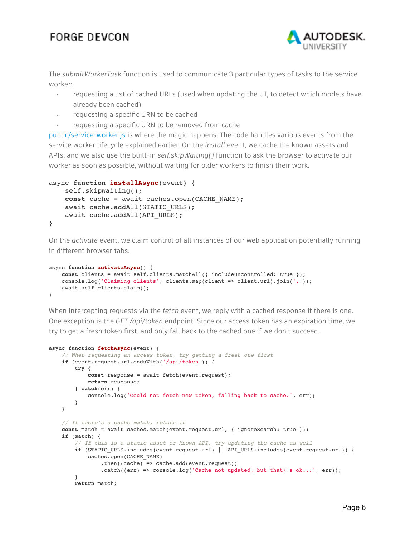

The *submitWorkerTask* function is used to communicate 3 particular types of tasks to the service worker:

- requesting a list of cached URLs (used when updating the UI, to detect which models have already been cached)
- requesting a specific URN to be cached
- requesting a specific URN to be removed from cache

[public/service-worker.js](https://github.com/petrbroz/forge-disconnected/blob/master/public/service-worker.js) is where the magic happens. The code handles various events from the service worker lifecycle explained earlier. On the *install* event, we cache the known assets and APIs, and we also use the built-in *self.skipWaiting()* function to ask the browser to activate our worker as soon as possible, without waiting for older workers to finish their work.

```
async function installAsync(event) {
     self.skipWaiting();
     const cache = await caches.open(CACHE_NAME);
    await cache.addAll(STATIC URLS);
    await cache.addAll(API URLS);
}
```
On the *activate* event, we claim control of all instances of our web application potentially running in different browser tabs.

```
async function activateAsync() {
    const clients = await self.clients.matchAll({ includeUncontrolled: true });
   console.log('Claiming clients', clients.map(client => client.url).join(','));
    await self.clients.claim();
}
```
When intercepting requests via the *fetch* event, we reply with a cached response if there is one. One exception is the *GET /api/token* endpoint. Since our access token has an expiration time, we try to get a fresh token first, and only fall back to the cached one if we don't succeed.

```
async function fetchAsync(event) {
     // When requesting an access token, try getting a fresh one first
     if (event.request.url.endsWith('/api/token')) {
         try {
             const response = await fetch(event.request);
             return response;
         } catch(err) {
             console.log('Could not fetch new token, falling back to cache.', err);
         }
     }
     // If there's a cache match, return it
   const match = await caches.match(event.request.url, { ignoreSearch: true });
     if (match) {
         // If this is a static asset or known API, try updating the cache as well
        if (STATIC URLS.includes(event.request.url) || API_URLS.includes(event.request.url)) {
             caches.open(CACHE_NAME)
                .\nthen((cache) \Rightarrow cache.add(event.request)).catch((err) => console.log('Cache not updated, but that\'s ok...', err));
         }
         return match;
```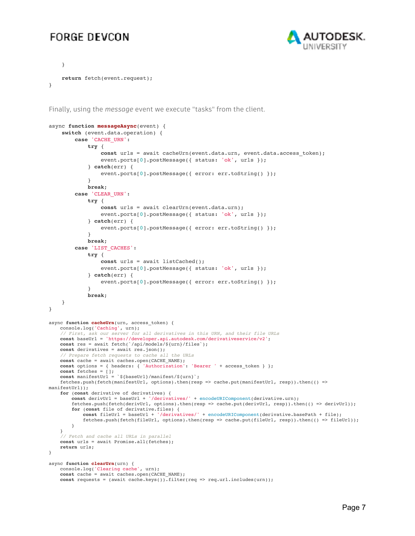

```
 }
     return fetch(event.request);
}
```
Finally, using the *message* event we execute "tasks" from the client.

```
async function messageAsync(event) {
     switch (event.data.operation) {
         case 'CACHE_URN':
              try {
                 const urls = await cacheUrn(event.data.urn, event.data.access token);
                  event.ports[0].postMessage({ status: 'ok', urls });
              } catch(err) {
                 event.ports[0].postMessage({ error: err.toString() });
 }
              break;
         case 'CLEAR_URN':
              try {
                  const urls = await clearUrn(event.data.urn);
                  event.ports[0].postMessage({ status: 'ok', urls });
              } catch(err) {
                  event.ports[0].postMessage({ error: err.toString() });
 }
             break;
         case 'LIST_CACHES':
              try {
                  const urls = await listCached();
                  event.ports[0].postMessage({ status: 'ok', urls });
              } catch(err) {
                  event.ports[0].postMessage({ error: err.toString() });
 }
              break;
     }
}
async function cacheUrn(urn, access_token) {
    console.log('Caching', urn);
     // First, ask our server for all derivatives in this URN, and their file URLs
    const baseUrl = 'https://developer.api.autodesk.com/derivativeservice/v2';
    const res = await fetch(`/api/models/${urn}/files`);
    const derivatives = await res.json();
     // Prepare fetch requests to cache all the URLs
    const cache = await caches.open(CACHE_NAME);
   const options = { headers: { 'Authorization': 'Bearer ' + access_token } };
    const fetches = [];
    const manifestUrl = `${baseUrl}/manifest/${urn}`;
    fetches.push(fetch(manifestUrl, options).then(resp => cache.put(manifestUrl, resp)).then(() => 
manifestUrl));
    for (const derivative of derivatives) {
        const derivUrl = baseUrl + '/derivatives/' + encodeURIComponent(derivative.urn);
        fetches.push(fetch(derivUrl, options).then(resp => cache.put(derivUrl, resp)).then(() => derivUrl));
        for (const file of derivative.files) {
           const fileUrl = baseUrl + '/derivatives/' + encodeURIComponent(derivative.basePath + file);
            fetches.push(fetch(fileUrl, options).then(resp => cache.put(fileUrl, resp)).then(() => fileUrl));
        }
    }
     // Fetch and cache all URLs in parallel
    const urls = await Promise.all(fetches);
    return urls;
}
async function clearUrn(urn) {
 console.log('Clearing cache', urn);
 const cache = await caches.open(CACHE_NAME);
   const requests = (await cache.keys()).filter(req => req.url.includes(urn));
```